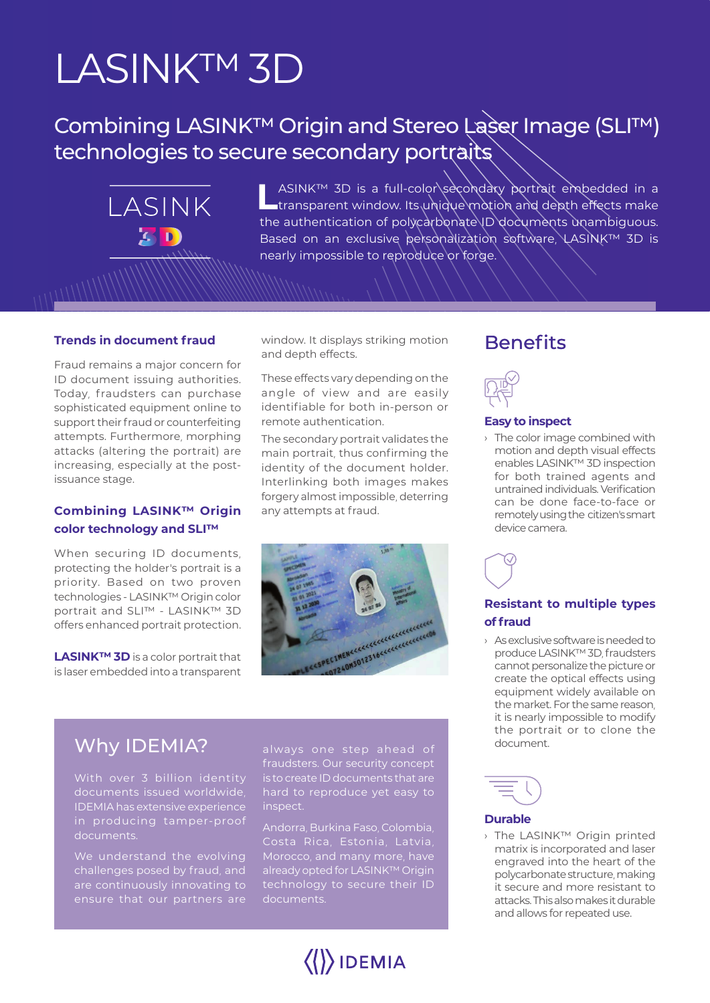# LASINK™ 3D

LASINK

**KID** 

# Combining LASINK™ Origin and Stereo Laser Image (SLI™) technologies to secure secondary portraits

LASINK™ 3D is a full-color\secondary portrait embedded in a<br>Latransparent window. Its unique motion and depth effects make the authentication of polycarbonate ID documents unambiguous. Based on an exclusive personalization software, LASINK™ 3D is nearly impossible to reproduce or forge.

#### **Trends in document fraud**

Fraud remains a major concern for ID document issuing authorities. Today, fraudsters can purchase sophisticated equipment online to support their fraud or counterfeiting attempts. Furthermore, morphing attacks (altering the portrait) are increasing, especially at the postissuance stage.

#### **Combining LASINK™ Origin color technology and SLI™**

When securing ID documents, protecting the holder's portrait is a priority. Based on two proven technologies - LASINK™ Origin color portrait and SLI™ - LASINK™ 3D offers enhanced portrait protection.

**LASINK™ 3D** is a color portrait that is laser embedded into a transparent

window. It displays striking motion and depth effects.

These effects vary depending on the angle of view and are easily identifiable for both in-person or remote authentication.

The secondary portrait validates the main portrait, thus confirming the identity of the document holder. Interlinking both images makes forgery almost impossible, deterring any attempts at fraud.



## Why IDEMIA?

With over 3 billion identity documents issued worldwide, IDEMIA has extensive experience

challenges posed by fraud, and are continuously innovating to always one step ahead of fraudsters. Our security concept is to create ID documents that are hard to reproduce yet easy to inspect.

Andorra, Burkina Faso, Colombia, already opted for LASINK™ Origin technology to secure their ID documents.

 $\langle\langle\rangle\rangle$ IDEMIA

## **Benefits**



#### **Easy to inspect**

› The color image combined with motion and depth visual effects enables LASINK™ 3D inspection for both trained agents and untrained individuals. Verification can be done face-to-face or remotely using the citizen's smart device camera.

**Resistant to multiple types of fraud**

› As exclusive software is needed to produce LASINK™ 3D, fraudsters cannot personalize the picture or create the optical effects using equipment widely available on the market. For the same reason, it is nearly impossible to modify the portrait or to clone the document.



#### **Durable**

› The LASINK™ Origin printed matrix is incorporated and laser engraved into the heart of the polycarbonate structure, making it secure and more resistant to attacks. This also makes it durable and allows for repeated use.